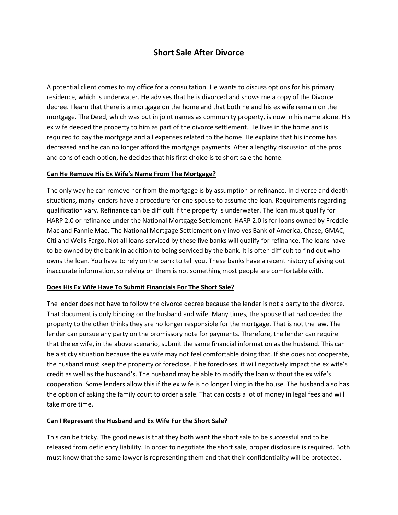# **Short Sale After Divorce**

A potential client comes to my office for a consultation. He wants to discuss options for his primary residence, which is underwater. He advises that he is divorced and shows me a copy of the Divorce decree. I learn that there is a mortgage on the home and that both he and his ex wife remain on the mortgage. The Deed, which was put in joint names as community property, is now in his name alone. His ex wife deeded the property to him as part of the divorce settlement. He lives in the home and is required to pay the mortgage and all expenses related to the home. He explains that his income has decreased and he can no longer afford the mortgage payments. After a lengthy discussion of the pros and cons of each option, he decides that his first choice is to short sale the home.

# **Can He Remove His Ex Wife's Name From The Mortgage?**

The only way he can remove her from the mortgage is by assumption or refinance. In divorce and death situations, many lenders have a procedure for one spouse to assume the loan. Requirements regarding qualification vary. Refinance can be difficult if the property is underwater. The loan must qualify for HARP 2.0 or refinance under the National Mortgage Settlement. HARP 2.0 is for loans owned by Freddie Mac and Fannie Mae. The National Mortgage Settlement only involves Bank of America, Chase, GMAC, Citi and Wells Fargo. Not all loans serviced by these five banks will qualify for refinance. The loans have to be owned by the bank in addition to being serviced by the bank. It is often difficult to find out who owns the loan. You have to rely on the bank to tell you. These banks have a recent history of giving out inaccurate information, so relying on them is not something most people are comfortable with.

# **Does His Ex Wife Have To Submit Financials For The Short Sale?**

The lender does not have to follow the divorce decree because the lender is not a party to the divorce. That document is only binding on the husband and wife. Many times, the spouse that had deeded the property to the other thinks they are no longer responsible for the mortgage. That is not the law. The lender can pursue any party on the promissory note for payments. Therefore, the lender can require that the ex wife, in the above scenario, submit the same financial information as the husband. This can be a sticky situation because the ex wife may not feel comfortable doing that. If she does not cooperate, the husband must keep the property or foreclose. If he forecloses, it will negatively impact the ex wife's credit as well as the husband's. The husband may be able to modify the loan without the ex wife's cooperation. Some lenders allow this if the ex wife is no longer living in the house. The husband also has the option of asking the family court to order a sale. That can costs a lot of money in legal fees and will take more time.

# **Can I Represent the Husband and Ex Wife For the Short Sale?**

This can be tricky. The good news is that they both want the short sale to be successful and to be released from deficiency liability. In order to negotiate the short sale, proper disclosure is required. Both must know that the same lawyer is representing them and that their confidentiality will be protected.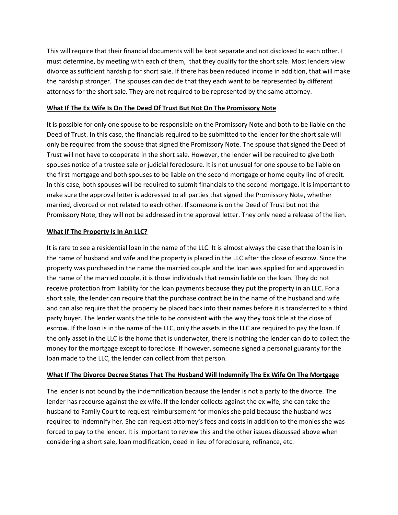This will require that their financial documents will be kept separate and not disclosed to each other. I must determine, by meeting with each of them, that they qualify for the short sale. Most lenders view divorce as sufficient hardship for short sale. If there has been reduced income in addition, that will make the hardship stronger. The spouses can decide that they each want to be represented by different attorneys for the short sale. They are not required to be represented by the same attorney.

### **What If The Ex Wife Is On The Deed Of Trust But Not On The Promissory Note**

It is possible for only one spouse to be responsible on the Promissory Note and both to be liable on the Deed of Trust. In this case, the financials required to be submitted to the lender for the short sale will only be required from the spouse that signed the Promissory Note. The spouse that signed the Deed of Trust will not have to cooperate in the short sale. However, the lender will be required to give both spouses notice of a trustee sale or judicial foreclosure. It is not unusual for one spouse to be liable on the first mortgage and both spouses to be liable on the second mortgage or home equity line of credit. In this case, both spouses will be required to submit financials to the second mortgage. It is important to make sure the approval letter is addressed to all parties that signed the Promissory Note, whether married, divorced or not related to each other. If someone is on the Deed of Trust but not the Promissory Note, they will not be addressed in the approval letter. They only need a release of the lien.

### **What If The Property Is In An LLC?**

It is rare to see a residential loan in the name of the LLC. It is almost always the case that the loan is in the name of husband and wife and the property is placed in the LLC after the close of escrow. Since the property was purchased in the name the married couple and the loan was applied for and approved in the name of the married couple, it is those individuals that remain liable on the loan. They do not receive protection from liability for the loan payments because they put the property in an LLC. For a short sale, the lender can require that the purchase contract be in the name of the husband and wife and can also require that the property be placed back into their names before it is transferred to a third party buyer. The lender wants the title to be consistent with the way they took title at the close of escrow. If the loan is in the name of the LLC, only the assets in the LLC are required to pay the loan. If the only asset in the LLC is the home that is underwater, there is nothing the lender can do to collect the money for the mortgage except to foreclose. If however, someone signed a personal guaranty for the loan made to the LLC, the lender can collect from that person.

# **What If The Divorce Decree States That The Husband Will Indemnify The Ex Wife On The Mortgage**

The lender is not bound by the indemnification because the lender is not a party to the divorce. The lender has recourse against the ex wife. If the lender collects against the ex wife, she can take the husband to Family Court to request reimbursement for monies she paid because the husband was required to indemnify her. She can request attorney's fees and costs in addition to the monies she was forced to pay to the lender. It is important to review this and the other issues discussed above when considering a short sale, loan modification, deed in lieu of foreclosure, refinance, etc.